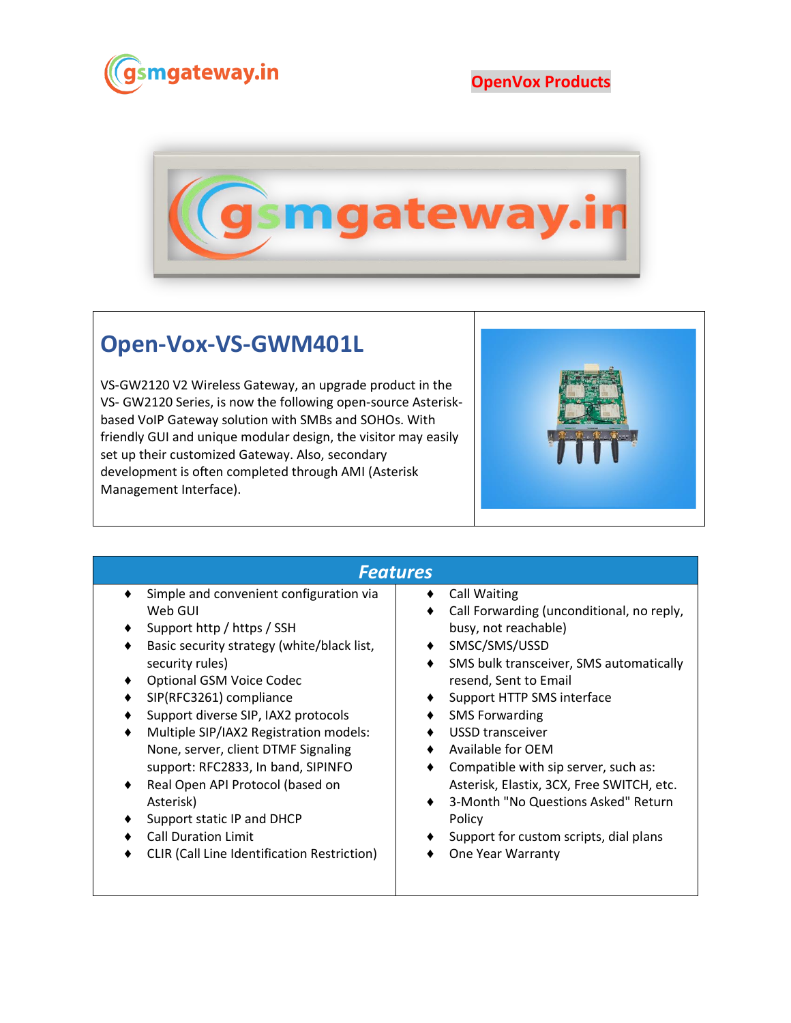

## **OpenVox Products**



## **Open-Vox-VS-GWM401L**

VS-GW2120 V2 Wireless Gateway, an upgrade product in the VS- GW2120 Series, is now the following open-source Asteriskbased VoIP Gateway solution with SMBs and SOHOs. With friendly GUI and unique modular design, the visitor may easily set up their customized Gateway. Also, secondary development is often completed through AMI (Asterisk Management Interface).



## *Features*

- ♦ Simple and convenient configuration via Web GUI
- Support http / https / SSH
- ♦ Basic security strategy (white/black list, security rules)
- ♦ Optional GSM Voice Codec
- ♦ SIP(RFC3261) compliance
- Support diverse SIP, IAX2 protocols
- Multiple SIP/IAX2 Registration models: None, server, client DTMF Signaling support: RFC2833, In band, SIPINFO
- ♦ Real Open API Protocol (based on Asterisk)
- ♦ Support static IP and DHCP
- ♦ Call Duration Limit
- ♦ CLIR (Call Line Identification Restriction)

## ♦ Call Waiting

- ♦ Call Forwarding (unconditional, no reply, busy, not reachable)
- ♦ SMSC/SMS/USSD
- ♦ SMS bulk transceiver, SMS automatically resend, Sent to Email
- ♦ Support HTTP SMS interface
- ♦ SMS Forwarding
- ♦ USSD transceiver
- ♦ Available for OEM
- ♦ Compatible with sip server, such as: Asterisk, Elastix, 3CX, Free SWITCH, etc.
- ♦ 3-Month "No Questions Asked" Return Policy
- ♦ Support for custom scripts, dial plans
- ♦ One Year Warranty